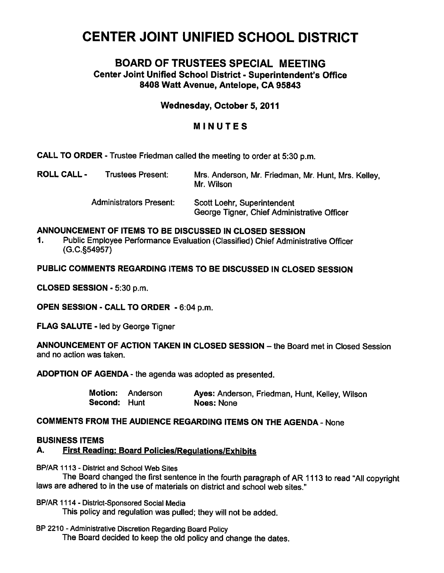# CENTER JOINT UNIFIED SCHOOL DISTRICT

# BOARD OF TRUSTEES SPECIAL MEETING Center Joint Unified School District - Superintendent's Office 8408 Watt Avenue, Antelope, CA 95843

## Wednesday, October 5, 2011

# MINUTES

CALL TO ORDER - Trustee Friedman called the meeting to order at 5:30 p.m.

ROLL CALL - Trustees Present: Mrs. Anderson, Mr. Friedman, Mr. Hunt, Mrs. Kelley, Mr. Wilson

Administrators Present: Scott Loehr, Superintendent

George Tigner, Chief Administrative Officer

## ANNOUNCEMENT OF ITEMS TO BE DISCUSSED IN CLOSED SESSION

1. Public Employee Performance Evaluation (Classified) Chief Administrative Officer (G.C.§54957)

## PUBLIC COMMENTS REGARDING ITEMS TO BE DISCUSSED IN CLOSED SESSION

CLOSED SESSION - 5:30 p.m.

OPEN SESSION - CALL TO ORDER - 6:04 p.m.

FLAG SALUTE - led by George Tigner

ANNOUNCEMENT OF ACTION TAKEN IN CLOSED SESSION - the Board met in Closed Session and no action was taken.

ADOPTION OF AGENDA - the agenda was adopted as presented.

|              | Motion: Anderson | Ayes: Anderson, Friedman, Hunt, Kelley, Wilson |
|--------------|------------------|------------------------------------------------|
| Second: Hunt |                  | Noes: None                                     |

# COMMENTS FROM THE AUDIENCE REGARDING ITEMS ON THE AGENDA- None

## BUSINESS ITEMS

A. First Reading: Board Policies/Regulations/Exhibits

BP/AR 1113 - District and School Web Sites

The Board changed the first sentence in the fourth paragraph of AR 1113 to read "All copyright laws are adhered to in the use of materials on district and school web sites."

BP/AR 1114 - District-Sponsored Social Media

This policy and regulation was pulled; they will not be added.

BP 2210 - Administrative Discretion Regarding Board Policy

The Board decided to keep the old policy and change the dates.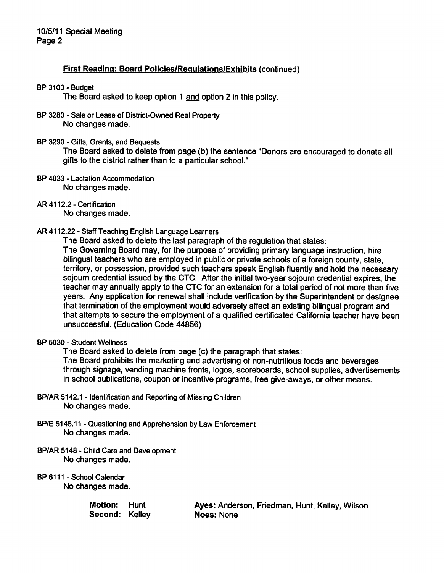## First Reading; Board Policies/Reaulations/Exhibits (continued)

#### BP 3100 -Budget

The Board asked to keep option 1 and option 2 in this policy.

BP 3280 - Sale or Lease of District-Owned Real Property No changes made.

### BP 3290 - Gifts, Grants, and Bequests

The Board asked to delete from page (b) the sentence "Donors are encouraged to donate all gifts to the district rather than to a particular school."

- BP 4033 Lactation Accommodation No changes made.
- AR 4112.2 Certification

No changes made.

### AR 4112.22 - Staff Teaching English Language Learners

The Board asked to delete the last paragraph of the regulation that states:

The Governing Board may, for the purpose of providing primary language instruction, hire bilingual teachers who are employed in public or private schools of a foreign county, state, territory, or possession, provided such teachers speak English fluently and hold the necessary sojourn credential issued by the CTC. After the initial two-year sojourn credential expires, the teacher may annually apply to the CTC for an extension for a total period of not more than five years. Any application for renewal shall include verification by the Superintendent or designee that termination of the employment would adversely affect an existing bilingual program and that attempts to secure the employment of a qualified certificated California teacher have been unsuccessful. (Education Code 44856)

#### BP 5030 - Student Wellness

The Board asked to delete from page (c) the paragraph that states:

The Board prohibits the marketing and advertising of non-nutritious foods and beverages through signage, vending machine fronts, logos, scoreboards, school supplies, advertisements in school publications, coupon or incentive programs, free give-aways, or other means.

- BP/AR 5142.1 Identification and Reporting of Missing Children No changes made.
- BP/E 5145.11 Questioning and Apprehension by Law Enforcement No changes made.
- BP/AR 5148 Child Care and Development No changes made.

BP 6111 - School Calendar No changes made.

| <b>Motion: Hunt</b> | Ayes: Anderson, Friedman, Hunt, Kelley, Wilson |
|---------------------|------------------------------------------------|
| Second: Kelley      | Noes: None                                     |